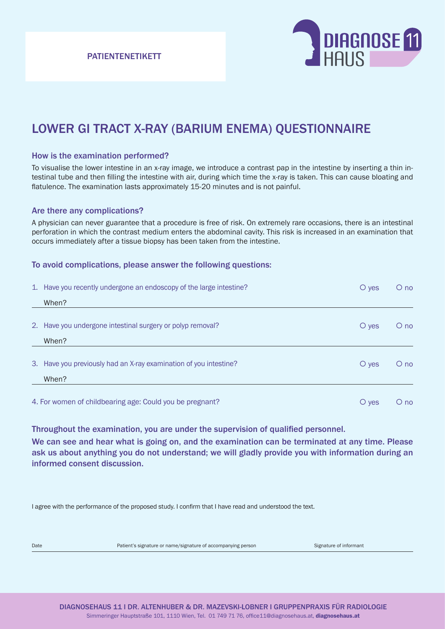PATIENTENETIKETT



# LOWER GI TRACT X-RAY (BARIUM ENEMA) QUESTIONNAIRE

### How is the examination performed?

To visualise the lower intestine in an x-ray image, we introduce a contrast pap in the intestine by inserting a thin intestinal tube and then filling the intestine with air, during which time the x-ray is taken. This can cause bloating and flatulence. The examination lasts approximately 15-20 minutes and is not painful.

### Are there any complications?

A physician can never guarantee that a procedure is free of risk. On extremely rare occasions, there is an intestinal perforation in which the contrast medium enters the abdominal cavity. This risk is increased in an examination that occurs immediately after a tissue biopsy has been taken from the intestine.

### To avoid complications, please answer the following questions:

|                                                          | 1. Have you recently undergone an endoscopy of the large intestine? | $\circ$ yes | $O$ no |
|----------------------------------------------------------|---------------------------------------------------------------------|-------------|--------|
|                                                          | When?                                                               |             |        |
|                                                          | 2. Have you undergone intestinal surgery or polyp removal?          | $\circ$ yes | $O$ no |
|                                                          | When?                                                               |             |        |
|                                                          | 3. Have you previously had an X-ray examination of you intestine?   | $\circ$ ves | $O$ no |
|                                                          | When?                                                               |             |        |
| 4. For women of childbearing age: Could you be pregnant? |                                                                     | $\circ$ yes | $O$ no |

Throughout the examination, you are under the supervision of qualified personnel.

We can see and hear what is going on, and the examination can be terminated at any time. Please ask us about anything you do not understand; we will gladly provide you with information during an informed consent discussion.

I agree with the performance of the proposed study. I confirm that I have read and understood the text.

Date **Patient's signature or name/signature of accompanying person** Signature of informant